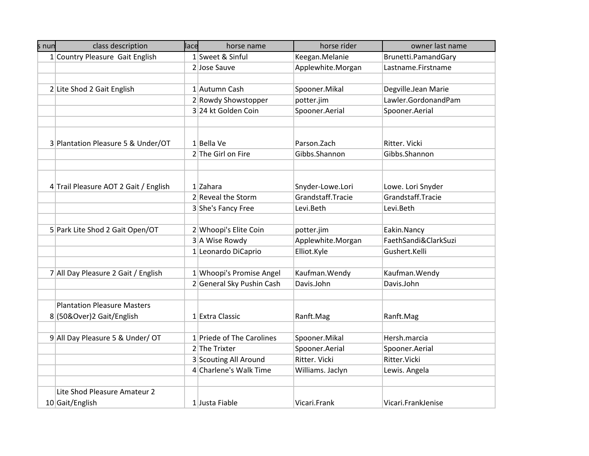| s nun | class description                     | lace | horse name                  | horse rider       | owner last name      |
|-------|---------------------------------------|------|-----------------------------|-------------------|----------------------|
|       | 1 Country Pleasure Gait English       |      | 1 Sweet & Sinful            | Keegan.Melanie    | Brunetti.PamandGary  |
|       |                                       |      | 2 Jose Sauve                | Applewhite.Morgan | Lastname.Firstname   |
|       |                                       |      |                             |                   |                      |
|       | 2 Lite Shod 2 Gait English            |      | 1 Autumn Cash               | Spooner.Mikal     | Degville.Jean Marie  |
|       |                                       |      | 2 Rowdy Showstopper         | potter.jim        | Lawler.GordonandPam  |
|       |                                       |      | 3 24 kt Golden Coin         | Spooner.Aerial    | Spooner.Aerial       |
|       |                                       |      |                             |                   |                      |
|       |                                       |      |                             |                   |                      |
|       | 3 Plantation Pleasure 5 & Under/OT    |      | 1 Bella Ve                  | Parson. Zach      | Ritter, Vicki        |
|       |                                       |      | 2 The Girl on Fire          | Gibbs.Shannon     | Gibbs.Shannon        |
|       |                                       |      |                             |                   |                      |
|       |                                       |      |                             |                   |                      |
|       | 4 Trail Pleasure AOT 2 Gait / English |      | $1$ Zahara                  | Snyder-Lowe.Lori  | Lowe. Lori Snyder    |
|       |                                       |      | 2 Reveal the Storm          | Grandstaff.Tracie | Grandstaff.Tracie    |
|       |                                       |      | 3 She's Fancy Free          | Levi.Beth         | Levi.Beth            |
|       |                                       |      |                             |                   |                      |
|       | 5 Park Lite Shod 2 Gait Open/OT       |      | 2 Whoopi's Elite Coin       | potter.jim        | Eakin.Nancy          |
|       |                                       |      | 3 A Wise Rowdy              | Applewhite.Morgan | FaethSandi&ClarkSuzi |
|       |                                       |      | 1 Leonardo DiCaprio         | Elliot.Kyle       | Gushert.Kelli        |
|       |                                       |      |                             |                   |                      |
|       | 7 All Day Pleasure 2 Gait / English   |      | 1 Whoopi's Promise Angel    | Kaufman. Wendy    | Kaufman. Wendy       |
|       |                                       |      | 2 General Sky Pushin Cash   | Davis.John        | Davis.John           |
|       |                                       |      |                             |                   |                      |
|       | <b>Plantation Pleasure Masters</b>    |      |                             |                   |                      |
|       | 8 (50&Over) 2 Gait/English            |      | 1 Extra Classic             | Ranft.Mag         | Ranft.Mag            |
|       |                                       |      |                             |                   |                      |
|       | 9 All Day Pleasure 5 & Under/ OT      |      | $1$ Priede of The Carolines | Spooner.Mikal     | Hersh.marcia         |
|       |                                       |      | 2 The Trixter               | Spooner.Aerial    | Spooner.Aerial       |
|       |                                       |      | 3 Scouting All Around       | Ritter. Vicki     | Ritter. Vicki        |
|       |                                       |      | 4 Charlene's Walk Time      | Williams. Jaclyn  | Lewis. Angela        |
|       |                                       |      |                             |                   |                      |
|       | Lite Shod Pleasure Amateur 2          |      |                             |                   |                      |
|       | 10 Gait/English                       |      | 1 Justa Fiable              | Vicari.Frank      | Vicari.FrankJenise   |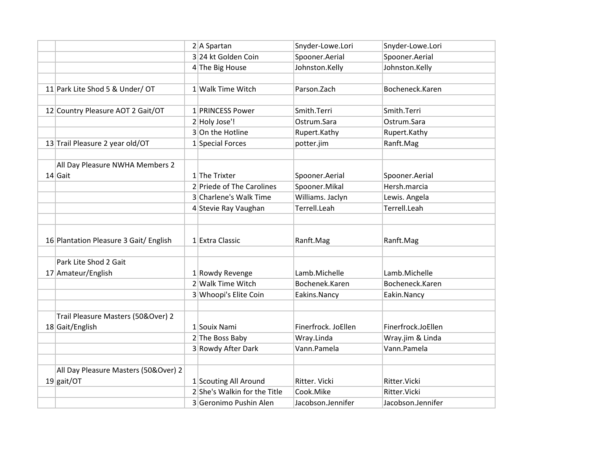|                                        | $2 A$ Spartan                | Snyder-Lowe.Lori    | Snyder-Lowe.Lori   |
|----------------------------------------|------------------------------|---------------------|--------------------|
|                                        | 3 24 kt Golden Coin          | Spooner.Aerial      | Spooner.Aerial     |
|                                        | 4 The Big House              | Johnston.Kelly      | Johnston.Kelly     |
|                                        |                              |                     |                    |
| 11 Park Lite Shod 5 & Under/ OT        | 1 Walk Time Witch            | Parson.Zach         | Bocheneck.Karen    |
|                                        |                              |                     |                    |
| 12 Country Pleasure AOT 2 Gait/OT      | 1 PRINCESS Power             | Smith.Terri         | Smith.Terri        |
|                                        | 2 Holy Jose'!                | Ostrum.Sara         | Ostrum.Sara        |
|                                        | 3 On the Hotline             | Rupert.Kathy        | Rupert.Kathy       |
| 13 Trail Pleasure 2 year old/OT        | 1 Special Forces             | potter.jim          | Ranft.Mag          |
|                                        |                              |                     |                    |
| All Day Pleasure NWHA Members 2        |                              |                     |                    |
| $14$ Gait                              | $1$ The Trixter              | Spooner.Aerial      | Spooner.Aerial     |
|                                        | 2 Priede of The Carolines    | Spooner.Mikal       | Hersh.marcia       |
|                                        | 3 Charlene's Walk Time       | Williams. Jaclyn    | Lewis. Angela      |
|                                        | 4 Stevie Ray Vaughan         | Terrell.Leah        | Terrell.Leah       |
|                                        |                              |                     |                    |
|                                        |                              |                     |                    |
| 16 Plantation Pleasure 3 Gait/ English | 1 Extra Classic              | Ranft.Mag           | Ranft.Mag          |
|                                        |                              |                     |                    |
| Park Lite Shod 2 Gait                  |                              |                     |                    |
| 17 Amateur/English                     | 1 Rowdy Revenge              | Lamb.Michelle       | Lamb.Michelle      |
|                                        | 2 Walk Time Witch            | Bochenek.Karen      | Bocheneck.Karen    |
|                                        | 3 Whoopi's Elite Coin        | Eakins.Nancy        | Eakin.Nancy        |
|                                        |                              |                     |                    |
| Trail Pleasure Masters (50&Over) 2     |                              |                     |                    |
| 18 Gait/English                        | 1 Souix Nami                 | Finerfrock. JoEllen | Finerfrock.JoEllen |
|                                        | 2 The Boss Baby              | Wray.Linda          | Wray.jim & Linda   |
|                                        | 3 Rowdy After Dark           | Vann.Pamela         | Vann.Pamela        |
|                                        |                              |                     |                    |
| All Day Pleasure Masters (50&Over) 2   |                              |                     |                    |
| $19$ gait/OT                           | 1 Scouting All Around        | Ritter. Vicki       | Ritter. Vicki      |
|                                        | 2 She's Walkin for the Title | Cook.Mike           | Ritter. Vicki      |
|                                        | 3 Geronimo Pushin Alen       | Jacobson.Jennifer   | Jacobson.Jennifer  |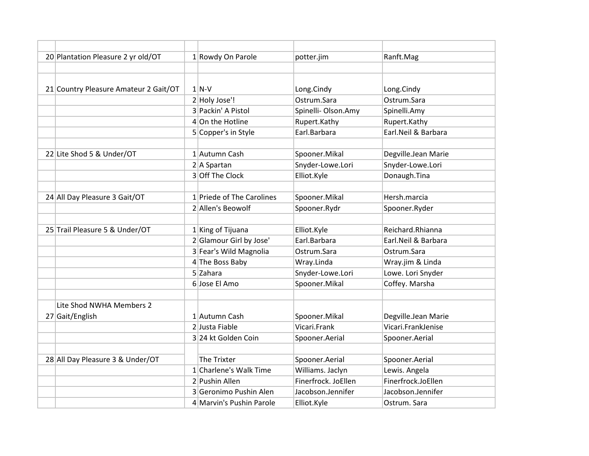| 20 Plantation Pleasure 2 yr old/OT    | 1 Rowdy On Parole         | potter.jim          | Ranft.Mag           |
|---------------------------------------|---------------------------|---------------------|---------------------|
|                                       |                           |                     |                     |
|                                       |                           |                     |                     |
| 21 Country Pleasure Amateur 2 Gait/OT | $1$ N-V                   | Long.Cindy          | Long.Cindy          |
|                                       | 2 Holy Jose'!             | Ostrum.Sara         | Ostrum.Sara         |
|                                       | 3 Packin' A Pistol        | Spinelli- Olson.Amy | Spinelli.Amy        |
|                                       | $4$ On the Hotline        | Rupert.Kathy        | Rupert.Kathy        |
|                                       | 5 Copper's in Style       | Earl.Barbara        | Earl.Neil & Barbara |
|                                       |                           |                     |                     |
| 22 Lite Shod 5 & Under/OT             | 1 Autumn Cash             | Spooner.Mikal       | Degville.Jean Marie |
|                                       | $2 A$ Spartan             | Snyder-Lowe.Lori    | Snyder-Lowe.Lori    |
|                                       | 3 Off The Clock           | Elliot.Kyle         | Donaugh.Tina        |
|                                       |                           |                     |                     |
| 24 All Day Pleasure 3 Gait/OT         | 1 Priede of The Carolines | Spooner.Mikal       | Hersh.marcia        |
|                                       | 2 Allen's Beowolf         | Spooner.Rydr        | Spooner.Ryder       |
|                                       |                           |                     |                     |
| 25 Trail Pleasure 5 & Under/OT        | $1$ King of Tijuana       | Elliot.Kyle         | Reichard.Rhianna    |
|                                       | 2 Glamour Girl by Jose'   | Earl.Barbara        | Earl.Neil & Barbara |
|                                       | 3 Fear's Wild Magnolia    | Ostrum.Sara         | Ostrum.Sara         |
|                                       | 4 The Boss Baby           | Wray.Linda          | Wray.jim & Linda    |
|                                       | $5$ Zahara                | Snyder-Lowe.Lori    | Lowe. Lori Snyder   |
|                                       | 6 Jose El Amo             | Spooner.Mikal       | Coffey. Marsha      |
|                                       |                           |                     |                     |
| Lite Shod NWHA Members 2              |                           |                     |                     |
| 27 Gait/English                       | 1 Autumn Cash             | Spooner.Mikal       | Degville.Jean Marie |
|                                       | 2 Justa Fiable            | Vicari.Frank        | Vicari.FrankJenise  |
|                                       | 3 24 kt Golden Coin       | Spooner.Aerial      | Spooner.Aerial      |
|                                       |                           |                     |                     |
| 28 All Day Pleasure 3 & Under/OT      | The Trixter               | Spooner.Aerial      | Spooner.Aerial      |
|                                       | 1 Charlene's Walk Time    | Williams. Jaclyn    | Lewis. Angela       |
|                                       | 2 Pushin Allen            | Finerfrock. JoEllen | Finerfrock.JoEllen  |
|                                       | 3 Geronimo Pushin Alen    | Jacobson.Jennifer   | Jacobson.Jennifer   |
|                                       | 4 Marvin's Pushin Parole  | Elliot.Kyle         | Ostrum. Sara        |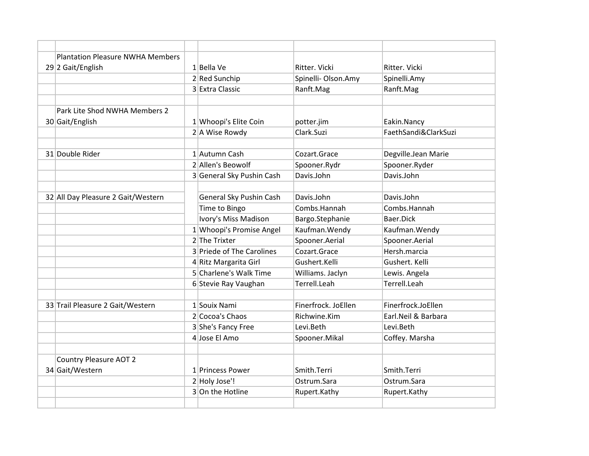| <b>Plantation Pleasure NWHA Members</b> |                                     |                     |                      |
|-----------------------------------------|-------------------------------------|---------------------|----------------------|
| 29 2 Gait/English                       | 1 Bella Ve                          | Ritter. Vicki       | Ritter. Vicki        |
|                                         | 2 Red Sunchip                       | Spinelli- Olson.Amy | Spinelli.Amy         |
|                                         | 3 Extra Classic                     | Ranft.Mag           | Ranft.Mag            |
|                                         |                                     |                     |                      |
| Park Lite Shod NWHA Members 2           |                                     |                     |                      |
| 30 Gait/English                         | 1 Whoopi's Elite Coin               | potter.jim          | Eakin.Nancy          |
|                                         | 2 A Wise Rowdy                      | Clark.Suzi          | FaethSandi&ClarkSuzi |
|                                         |                                     |                     |                      |
| 31 Double Rider                         | 1 Autumn Cash                       | Cozart.Grace        | Degville.Jean Marie  |
|                                         | 2 Allen's Beowolf                   | Spooner.Rydr        | Spooner.Ryder        |
|                                         | 3 General Sky Pushin Cash           | Davis.John          | Davis.John           |
|                                         |                                     | Davis.John          | Davis.John           |
| 32 All Day Pleasure 2 Gait/Western      | General Sky Pushin Cash             |                     |                      |
|                                         | Time to Bingo                       | Combs.Hannah        | Combs.Hannah         |
|                                         | Ivory's Miss Madison                | Bargo.Stephanie     | Baer.Dick            |
|                                         | 1 Whoopi's Promise Angel            | Kaufman. Wendy      | Kaufman. Wendy       |
|                                         | 2 The Trixter                       | Spooner.Aerial      | Spooner.Aerial       |
|                                         | 3 Priede of The Carolines           | Cozart.Grace        | Hersh.marcia         |
|                                         | 4 Ritz Margarita Girl               | Gushert.Kelli       | Gushert. Kelli       |
|                                         | 5 Charlene's Walk Time              | Williams. Jaclyn    | Lewis. Angela        |
|                                         | 6 Stevie Ray Vaughan                | Terrell.Leah        | Terrell.Leah         |
| 33 Trail Pleasure 2 Gait/Western        | 1 Souix Nami                        | Finerfrock. JoEllen | Finerfrock.JoEllen   |
|                                         | 2 Cocoa's Chaos                     | Richwine.Kim        | Earl. Neil & Barbara |
|                                         |                                     | Levi.Beth           | Levi.Beth            |
|                                         | 3 She's Fancy Free<br>4 Jose El Amo |                     |                      |
|                                         |                                     | Spooner.Mikal       | Coffey. Marsha       |
| <b>Country Pleasure AOT 2</b>           |                                     |                     |                      |
| 34 Gait/Western                         | 1 Princess Power                    | Smith Terri         | Smith Terri          |
|                                         | 2 Holy Jose'!                       | Ostrum.Sara         | Ostrum.Sara          |
|                                         | 3 On the Hotline                    | Rupert.Kathy        | Rupert.Kathy         |
|                                         |                                     |                     |                      |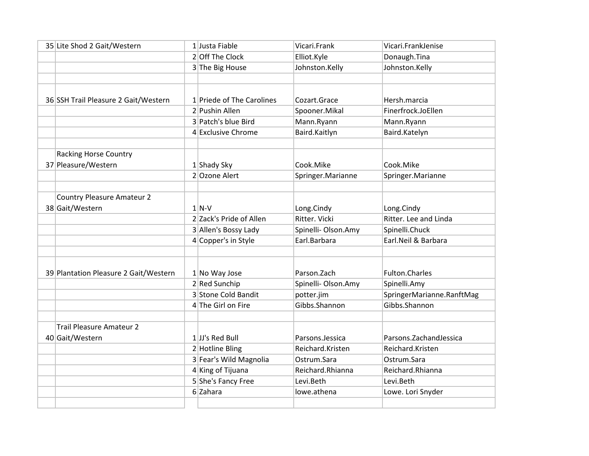| 35 Lite Shod 2 Gait/Western           | 1 Justa Fiable            | Vicari.Frank        | Vicari.FrankJenise        |
|---------------------------------------|---------------------------|---------------------|---------------------------|
|                                       | 2 Off The Clock           | Elliot.Kyle         | Donaugh.Tina              |
|                                       | 3 The Big House           | Johnston.Kelly      | Johnston.Kelly            |
|                                       |                           |                     |                           |
|                                       |                           |                     |                           |
| 36 SSH Trail Pleasure 2 Gait/Western  | 1 Priede of The Carolines | Cozart.Grace        | Hersh.marcia              |
|                                       | 2 Pushin Allen            | Spooner.Mikal       | Finerfrock.JoEllen        |
|                                       | 3 Patch's blue Bird       | Mann.Ryann          | Mann.Ryann                |
|                                       | 4 Exclusive Chrome        | Baird.Kaitlyn       | Baird.Katelyn             |
|                                       |                           |                     |                           |
| <b>Racking Horse Country</b>          |                           |                     |                           |
| 37 Pleasure/Western                   | 1 Shady Sky               | Cook.Mike           | Cook.Mike                 |
|                                       | 2 Ozone Alert             | Springer.Marianne   | Springer.Marianne         |
|                                       |                           |                     |                           |
| <b>Country Pleasure Amateur 2</b>     |                           |                     |                           |
| 38 Gait/Western                       | $1$ N-V                   | Long.Cindy          | Long.Cindy                |
|                                       | 2 Zack's Pride of Allen   | Ritter. Vicki       | Ritter. Lee and Linda     |
|                                       | 3 Allen's Bossy Lady      | Spinelli- Olson.Amy | Spinelli.Chuck            |
|                                       | 4 Copper's in Style       | Earl.Barbara        | Earl.Neil & Barbara       |
|                                       |                           |                     |                           |
|                                       |                           |                     |                           |
| 39 Plantation Pleasure 2 Gait/Western | $1$ No Way Jose           | Parson. Zach        | <b>Fulton.Charles</b>     |
|                                       | 2 Red Sunchip             | Spinelli-Olson.Amy  | Spinelli.Amy              |
|                                       | 3 Stone Cold Bandit       | potter.jim          | SpringerMarianne.RanftMag |
|                                       | 4 The Girl on Fire        | Gibbs.Shannon       | Gibbs.Shannon             |
|                                       |                           |                     |                           |
| <b>Trail Pleasure Amateur 2</b>       |                           |                     |                           |
| 40 Gait/Western                       | $1$ JJ's Red Bull         | Parsons.Jessica     | Parsons.ZachandJessica    |
|                                       | 2 Hotline Bling           | Reichard.Kristen    | Reichard.Kristen          |
|                                       | 3 Fear's Wild Magnolia    | Ostrum.Sara         | Ostrum.Sara               |
|                                       | 4 King of Tijuana         | Reichard.Rhianna    | Reichard.Rhianna          |
|                                       | 5 She's Fancy Free        | Levi.Beth           | Levi.Beth                 |
|                                       | 6 Zahara                  | lowe.athena         | Lowe. Lori Snyder         |
|                                       |                           |                     |                           |
|                                       |                           |                     |                           |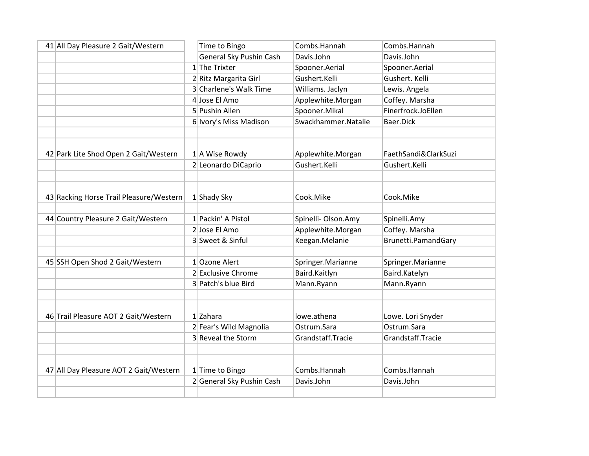| 41 All Day Pleasure 2 Gait/Western      | Time to Bingo             | Combs.Hannah                       | Combs.Hannah         |
|-----------------------------------------|---------------------------|------------------------------------|----------------------|
|                                         | General Sky Pushin Cash   | Davis.John                         | Davis.John           |
|                                         | $1$ The Trixter           | Spooner.Aerial                     | Spooner.Aerial       |
|                                         | 2 Ritz Margarita Girl     | Gushert.Kelli                      | Gushert. Kelli       |
|                                         | 3 Charlene's Walk Time    | Williams. Jaclyn                   | Lewis. Angela        |
|                                         | 4 Jose El Amo             | Applewhite.Morgan                  | Coffey. Marsha       |
|                                         | 5 Pushin Allen            | Spooner.Mikal                      | Finerfrock.JoEllen   |
|                                         | 6 Ivory's Miss Madison    | Swackhammer.Natalie                | Baer.Dick            |
|                                         |                           |                                    |                      |
|                                         |                           |                                    | FaethSandi&ClarkSuzi |
| 42 Park Lite Shod Open 2 Gait/Western   | $1$ A Wise Rowdy          | Applewhite.Morgan<br>Gushert.Kelli |                      |
|                                         | 2 Leonardo DiCaprio       |                                    | Gushert.Kelli        |
|                                         |                           |                                    |                      |
| 43 Racking Horse Trail Pleasure/Western | $1$ Shady Sky             | Cook.Mike                          | Cook.Mike            |
|                                         |                           |                                    |                      |
| 44 Country Pleasure 2 Gait/Western      | 1 Packin' A Pistol        | Spinelli- Olson.Amy                | Spinelli.Amy         |
|                                         | 2 Jose El Amo             | Applewhite.Morgan                  | Coffey. Marsha       |
|                                         | 3 Sweet & Sinful          | Keegan.Melanie                     | Brunetti.PamandGary  |
|                                         |                           |                                    |                      |
| 45 SSH Open Shod 2 Gait/Western         | $1$ Ozone Alert           | Springer.Marianne                  | Springer.Marianne    |
|                                         | 2 Exclusive Chrome        | Baird.Kaitlyn                      | Baird.Katelyn        |
|                                         | 3 Patch's blue Bird       | Mann.Ryann                         | Mann.Ryann           |
|                                         |                           |                                    |                      |
|                                         |                           |                                    |                      |
| 46 Trail Pleasure AOT 2 Gait/Western    | 1 Zahara                  | lowe.athena                        | Lowe. Lori Snyder    |
|                                         | 2 Fear's Wild Magnolia    | Ostrum.Sara                        | Ostrum.Sara          |
|                                         | 3 Reveal the Storm        | Grandstaff.Tracie                  | Grandstaff.Tracie    |
|                                         |                           |                                    |                      |
|                                         |                           |                                    |                      |
| 47 All Day Pleasure AOT 2 Gait/Western  | 1 Time to Bingo           | Combs.Hannah                       | Combs.Hannah         |
|                                         | 2 General Sky Pushin Cash | Davis.John                         | Davis.John           |
|                                         |                           |                                    |                      |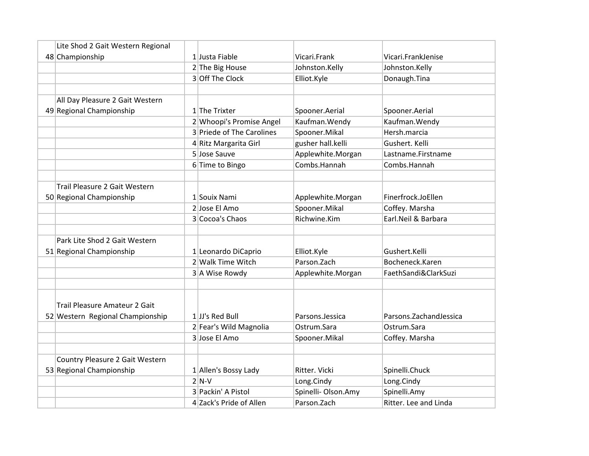| Lite Shod 2 Gait Western Regional |                           |                     |                          |
|-----------------------------------|---------------------------|---------------------|--------------------------|
| 48 Championship                   | 1 Justa Fiable            | Vicari.Frank        | Vicari.FrankJenise       |
|                                   | 2 The Big House           | Johnston.Kelly      | Johnston.Kelly           |
|                                   | 3 Off The Clock           | Elliot.Kyle         | Donaugh.Tina             |
|                                   |                           |                     |                          |
| All Day Pleasure 2 Gait Western   |                           |                     |                          |
| 49 Regional Championship          | $1$ The Trixter           | Spooner.Aerial      | Spooner.Aerial           |
|                                   | 2 Whoopi's Promise Angel  | Kaufman. Wendy      | Kaufman. Wendy           |
|                                   | 3 Priede of The Carolines | Spooner.Mikal       | Hersh.marcia             |
|                                   | 4 Ritz Margarita Girl     | gusher hall.kelli   | Gushert. Kelli           |
|                                   | 5 Jose Sauve              | Applewhite.Morgan   | Lastname.Firstname       |
|                                   | 6 Time to Bingo           | Combs.Hannah        | Combs.Hannah             |
|                                   |                           |                     |                          |
| Trail Pleasure 2 Gait Western     |                           |                     |                          |
| 50 Regional Championship          | 1 Souix Nami              | Applewhite.Morgan   | Finerfrock.JoEllen       |
|                                   | 2 Jose El Amo             | Spooner.Mikal       | Coffey. Marsha           |
|                                   | 3 Cocoa's Chaos           | Richwine.Kim        | Earl.Neil & Barbara      |
|                                   |                           |                     |                          |
| Park Lite Shod 2 Gait Western     |                           |                     |                          |
| 51 Regional Championship          | 1 Leonardo DiCaprio       | Elliot.Kyle         | Gushert.Kelli            |
|                                   | 2 Walk Time Witch         | Parson.Zach         | Bocheneck.Karen          |
|                                   | 3 A Wise Rowdy            | Applewhite.Morgan   | FaethSandi&ClarkSuzi     |
|                                   |                           |                     |                          |
|                                   |                           |                     |                          |
| Trail Pleasure Amateur 2 Gait     |                           |                     |                          |
| 52 Western Regional Championship  | $1$ JJ's Red Bull         | Parsons.Jessica     | Parsons. Zachand Jessica |
|                                   | 2 Fear's Wild Magnolia    | Ostrum.Sara         | Ostrum.Sara              |
|                                   | 3 Jose El Amo             | Spooner.Mikal       | Coffey. Marsha           |
|                                   |                           |                     |                          |
| Country Pleasure 2 Gait Western   |                           |                     |                          |
| 53 Regional Championship          | 1 Allen's Bossy Lady      | Ritter. Vicki       | Spinelli.Chuck           |
|                                   | $2 N-V$                   | Long.Cindy          | Long.Cindy               |
|                                   | 3 Packin' A Pistol        | Spinelli- Olson.Amy | Spinelli.Amy             |
|                                   | 4 Zack's Pride of Allen   | Parson.Zach         | Ritter. Lee and Linda    |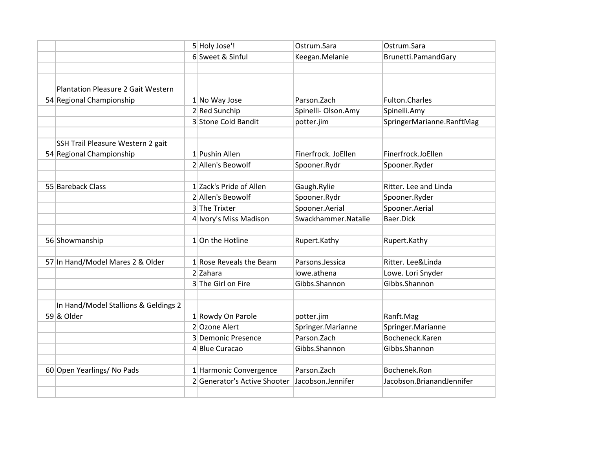|                                           | 5 Holy Jose'!                | Ostrum.Sara         | Ostrum.Sara               |
|-------------------------------------------|------------------------------|---------------------|---------------------------|
|                                           | 6 Sweet & Sinful             | Keegan.Melanie      | Brunetti.PamandGary       |
|                                           |                              |                     |                           |
|                                           |                              |                     |                           |
| <b>Plantation Pleasure 2 Gait Western</b> |                              |                     |                           |
| 54 Regional Championship                  | 1 No Way Jose                | Parson. Zach        | Fulton.Charles            |
|                                           | 2 Red Sunchip                | Spinelli- Olson.Amy | Spinelli.Amy              |
|                                           | 3 Stone Cold Bandit          | potter.jim          | SpringerMarianne.RanftMag |
|                                           |                              |                     |                           |
| SSH Trail Pleasure Western 2 gait         |                              |                     |                           |
| 54 Regional Championship                  | 1 Pushin Allen               | Finerfrock. JoEllen | Finerfrock.JoEllen        |
|                                           | 2 Allen's Beowolf            | Spooner.Rydr        | Spooner.Ryder             |
|                                           |                              |                     |                           |
| 55 Bareback Class                         | 1 Zack's Pride of Allen      | Gaugh.Rylie         | Ritter. Lee and Linda     |
|                                           | 2 Allen's Beowolf            | Spooner.Rydr        | Spooner.Ryder             |
|                                           | 3 The Trixter                | Spooner.Aerial      | Spooner.Aerial            |
|                                           | 4 Ivory's Miss Madison       | Swackhammer.Natalie | Baer.Dick                 |
|                                           |                              |                     |                           |
| 56 Showmanship                            | $1$ On the Hotline           | Rupert.Kathy        | Rupert.Kathy              |
|                                           |                              |                     |                           |
| 57 In Hand/Model Mares 2 & Older          | $1$ Rose Reveals the Beam    | Parsons.Jessica     | Ritter. Lee&Linda         |
|                                           | 2 Zahara                     | lowe.athena         | Lowe. Lori Snyder         |
|                                           | 3 The Girl on Fire           | Gibbs.Shannon       | Gibbs.Shannon             |
|                                           |                              |                     |                           |
| In Hand/Model Stallions & Geldings 2      |                              |                     |                           |
| 59 & Older                                | 1 Rowdy On Parole            | potter.jim          | Ranft.Mag                 |
|                                           | 2 Ozone Alert                | Springer.Marianne   | Springer.Marianne         |
|                                           | 3 Demonic Presence           | Parson.Zach         | Bocheneck.Karen           |
|                                           | 4 Blue Curacao               | Gibbs.Shannon       | Gibbs.Shannon             |
|                                           |                              |                     |                           |
| 60 Open Yearlings/ No Pads                | 1 Harmonic Convergence       | Parson. Zach        | Bochenek.Ron              |
|                                           | 2 Generator's Active Shooter | Jacobson.Jennifer   | Jacobson.BrianandJennifer |
|                                           |                              |                     |                           |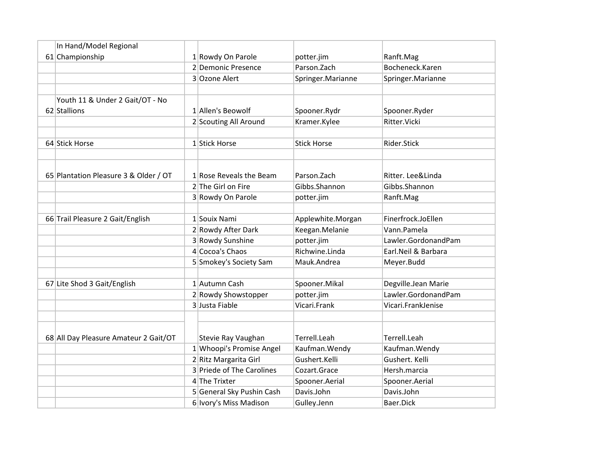| In Hand/Model Regional                |                           |                    |                     |
|---------------------------------------|---------------------------|--------------------|---------------------|
| 61 Championship                       | 1 Rowdy On Parole         | potter.jim         | Ranft.Mag           |
|                                       | 2 Demonic Presence        | Parson.Zach        | Bocheneck.Karen     |
|                                       | 3 Ozone Alert             | Springer.Marianne  | Springer.Marianne   |
|                                       |                           |                    |                     |
| Youth 11 & Under 2 Gait/OT - No       |                           |                    |                     |
| 62 Stallions                          | 1 Allen's Beowolf         | Spooner.Rydr       | Spooner.Ryder       |
|                                       | 2 Scouting All Around     | Kramer.Kylee       | Ritter.Vicki        |
|                                       |                           |                    |                     |
| 64 Stick Horse                        | 1 Stick Horse             | <b>Stick Horse</b> | Rider.Stick         |
|                                       |                           |                    |                     |
|                                       |                           |                    |                     |
| 65 Plantation Pleasure 3 & Older / OT | 1 Rose Reveals the Beam   | Parson.Zach        | Ritter. Lee&Linda   |
|                                       | $2$ The Girl on Fire      | Gibbs.Shannon      | Gibbs.Shannon       |
|                                       | 3 Rowdy On Parole         | potter.jim         | Ranft.Mag           |
|                                       |                           |                    |                     |
| 66 Trail Pleasure 2 Gait/English      | 1 Souix Nami              | Applewhite.Morgan  | Finerfrock.JoEllen  |
|                                       | 2 Rowdy After Dark        | Keegan.Melanie     | Vann.Pamela         |
|                                       | 3 Rowdy Sunshine          | potter.jim         | Lawler.GordonandPam |
|                                       | 4 Cocoa's Chaos           | Richwine.Linda     | Earl.Neil & Barbara |
|                                       | 5 Smokey's Society Sam    | Mauk.Andrea        | Meyer.Budd          |
|                                       |                           |                    |                     |
| 67 Lite Shod 3 Gait/English           | 1 Autumn Cash             | Spooner.Mikal      | Degville.Jean Marie |
|                                       | 2 Rowdy Showstopper       | potter.jim         | Lawler.GordonandPam |
|                                       | 3 Justa Fiable            | Vicari.Frank       | Vicari.FrankJenise  |
|                                       |                           |                    |                     |
|                                       |                           |                    |                     |
| 68 All Day Pleasure Amateur 2 Gait/OT | Stevie Ray Vaughan        | Terrell.Leah       | Terrell.Leah        |
|                                       | 1 Whoopi's Promise Angel  | Kaufman. Wendy     | Kaufman. Wendy      |
|                                       | 2 Ritz Margarita Girl     | Gushert.Kelli      | Gushert. Kelli      |
|                                       | 3 Priede of The Carolines | Cozart.Grace       | Hersh.marcia        |
|                                       | 4 The Trixter             | Spooner.Aerial     | Spooner.Aerial      |
|                                       | 5 General Sky Pushin Cash | Davis.John         | Davis.John          |
|                                       | 6 Ivory's Miss Madison    | Gulley.Jenn        | Baer.Dick           |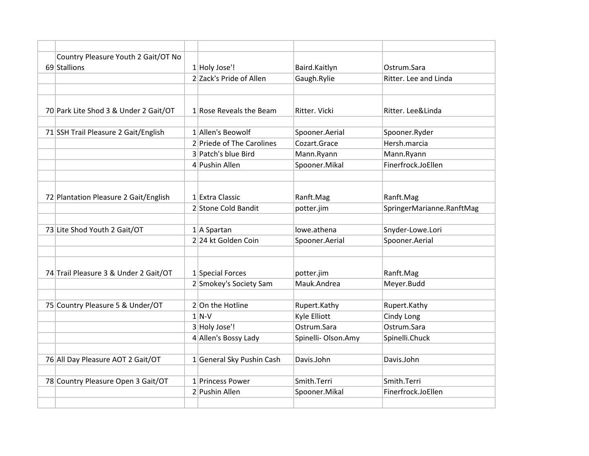| Country Pleasure Youth 2 Gait/OT No   |                           |                     |                           |
|---------------------------------------|---------------------------|---------------------|---------------------------|
| 69 Stallions                          | 1 Holy Jose'!             | Baird.Kaitlyn       | Ostrum.Sara               |
|                                       | 2 Zack's Pride of Allen   | Gaugh.Rylie         | Ritter. Lee and Linda     |
|                                       |                           |                     |                           |
| 70 Park Lite Shod 3 & Under 2 Gait/OT | $1$ Rose Reveals the Beam | Ritter. Vicki       | Ritter. Lee&Linda         |
|                                       |                           |                     |                           |
| 71 SSH Trail Pleasure 2 Gait/English  | 1 Allen's Beowolf         | Spooner.Aerial      | Spooner.Ryder             |
|                                       | 2 Priede of The Carolines | Cozart.Grace        | Hersh.marcia              |
|                                       | 3 Patch's blue Bird       | Mann.Ryann          | Mann.Ryann                |
|                                       | 4 Pushin Allen            | Spooner.Mikal       | Finerfrock.JoEllen        |
|                                       |                           |                     |                           |
| 72 Plantation Pleasure 2 Gait/English | 1 Extra Classic           | Ranft.Mag           | Ranft.Mag                 |
|                                       | 2 Stone Cold Bandit       | potter.jim          | SpringerMarianne.RanftMag |
| 73 Lite Shod Youth 2 Gait/OT          | $1$   A Spartan           | lowe.athena         | Snyder-Lowe.Lori          |
|                                       | 224 kt Golden Coin        | Spooner.Aerial      | Spooner.Aerial            |
|                                       |                           |                     |                           |
|                                       |                           |                     |                           |
| 74 Trail Pleasure 3 & Under 2 Gait/OT | 1 Special Forces          | potter.jim          | Ranft.Mag                 |
|                                       | 2 Smokey's Society Sam    | Mauk.Andrea         | Meyer.Budd                |
|                                       |                           |                     |                           |
| 75 Country Pleasure 5 & Under/OT      | 2 On the Hotline          | Rupert.Kathy        | Rupert.Kathy              |
|                                       | $1$ N-V                   | Kyle Elliott        | Cindy Long                |
|                                       | 3 Holy Jose'!             | Ostrum.Sara         | Ostrum.Sara               |
|                                       | 4 Allen's Bossy Lady      | Spinelli- Olson.Amy | Spinelli.Chuck            |
|                                       |                           |                     |                           |
| 76 All Day Pleasure AOT 2 Gait/OT     | 1 General Sky Pushin Cash | Davis.John          | Davis.John                |
|                                       |                           |                     |                           |
| 78 Country Pleasure Open 3 Gait/OT    | 1 Princess Power          | Smith.Terri         | Smith.Terri               |
|                                       | 2 Pushin Allen            | Spooner.Mikal       | Finerfrock.JoEllen        |
|                                       |                           |                     |                           |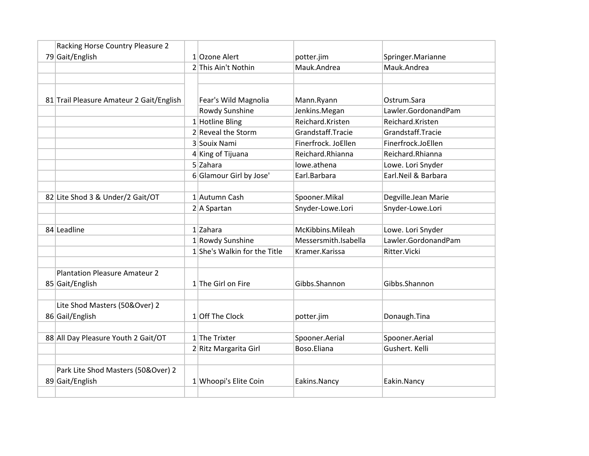| Racking Horse Country Pleasure 2         |                              |                      |                      |
|------------------------------------------|------------------------------|----------------------|----------------------|
| 79 Gait/English                          | 1 Ozone Alert                | potter.jim           | Springer.Marianne    |
|                                          | 2 This Ain't Nothin          | Mauk.Andrea          | Mauk.Andrea          |
|                                          |                              |                      |                      |
|                                          |                              |                      |                      |
| 81 Trail Pleasure Amateur 2 Gait/English | Fear's Wild Magnolia         | Mann.Ryann           | Ostrum.Sara          |
|                                          | Rowdy Sunshine               | Jenkins.Megan        | Lawler.GordonandPam  |
|                                          | $1$ Hotline Bling            | Reichard.Kristen     | Reichard.Kristen     |
|                                          | 2 Reveal the Storm           | Grandstaff.Tracie    | Grandstaff.Tracie    |
|                                          | 3 Souix Nami                 | Finerfrock. JoEllen  | Finerfrock.JoEllen   |
|                                          | 4 King of Tijuana            | Reichard.Rhianna     | Reichard.Rhianna     |
|                                          | 5 Zahara                     | lowe.athena          | Lowe. Lori Snyder    |
|                                          | 6 Glamour Girl by Jose'      | Earl.Barbara         | Earl. Neil & Barbara |
|                                          |                              |                      |                      |
| 82 Lite Shod 3 & Under/2 Gait/OT         | 1 Autumn Cash                | Spooner.Mikal        | Degville.Jean Marie  |
|                                          | $2 A$ Spartan                | Snyder-Lowe.Lori     | Snyder-Lowe.Lori     |
|                                          |                              |                      |                      |
| 84 Leadline                              | $1$ Zahara                   | McKibbins.Mileah     | Lowe. Lori Snyder    |
|                                          | 1 Rowdy Sunshine             | Messersmith.Isabella | Lawler.GordonandPam  |
|                                          | 1 She's Walkin for the Title | Kramer.Karissa       | Ritter. Vicki        |
|                                          |                              |                      |                      |
| <b>Plantation Pleasure Amateur 2</b>     |                              |                      |                      |
| 85 Gait/English                          | 1 The Girl on Fire           | Gibbs.Shannon        | Gibbs.Shannon        |
|                                          |                              |                      |                      |
| Lite Shod Masters (50&Over) 2            |                              |                      |                      |
| 86 Gail/English                          | 1 Off The Clock              | potter.jim           | Donaugh.Tina         |
|                                          |                              |                      |                      |
| 88 All Day Pleasure Youth 2 Gait/OT      | $1$ The Trixter              | Spooner.Aerial       | Spooner.Aerial       |
|                                          | 2 Ritz Margarita Girl        | Boso.Eliana          | Gushert. Kelli       |
|                                          |                              |                      |                      |
| Park Lite Shod Masters (50&Over) 2       |                              |                      |                      |
| 89 Gait/English                          | 1 Whoopi's Elite Coin        | Eakins.Nancy         | Eakin.Nancy          |
|                                          |                              |                      |                      |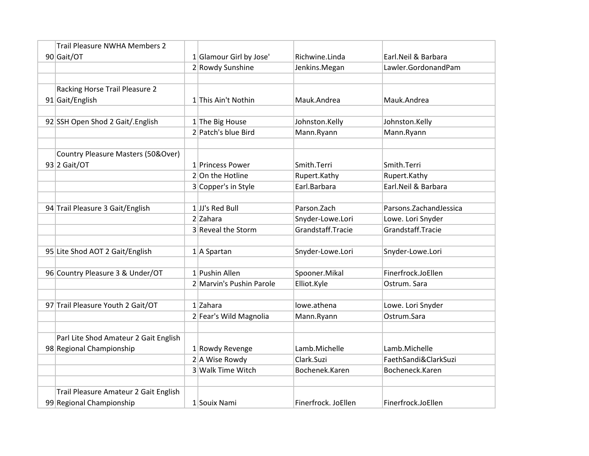| Trail Pleasure NWHA Members 2         |                          |                     |                          |
|---------------------------------------|--------------------------|---------------------|--------------------------|
| 90 Gait/OT                            | 1 Glamour Girl by Jose'  | Richwine.Linda      | Earl.Neil & Barbara      |
|                                       | 2 Rowdy Sunshine         | Jenkins.Megan       | Lawler.GordonandPam      |
|                                       |                          |                     |                          |
| Racking Horse Trail Pleasure 2        |                          |                     |                          |
| 91 Gait/English                       | 1 This Ain't Nothin      | Mauk.Andrea         | Mauk.Andrea              |
|                                       |                          |                     |                          |
| 92 SSH Open Shod 2 Gait/. English     | $1$ The Big House        | Johnston.Kelly      | Johnston.Kelly           |
|                                       | 2 Patch's blue Bird      | Mann.Ryann          | Mann.Ryann               |
|                                       |                          |                     |                          |
| Country Pleasure Masters (50&Over)    |                          |                     |                          |
| $93$ 2 Gait/OT                        | 1 Princess Power         | Smith.Terri         | Smith.Terri              |
|                                       | $2$ On the Hotline       | Rupert.Kathy        | Rupert.Kathy             |
|                                       | 3 Copper's in Style      | Earl.Barbara        | Earl.Neil & Barbara      |
|                                       |                          |                     |                          |
| 94 Trail Pleasure 3 Gait/English      | $1$ JJ's Red Bull        | Parson.Zach         | Parsons. Zachand Jessica |
|                                       | $2$ Zahara               | Snyder-Lowe.Lori    | Lowe. Lori Snyder        |
|                                       | 3 Reveal the Storm       | Grandstaff.Tracie   | Grandstaff.Tracie        |
|                                       |                          |                     |                          |
| 95 Lite Shod AOT 2 Gait/English       | $1$  A Spartan           | Snyder-Lowe.Lori    | Snyder-Lowe.Lori         |
|                                       |                          |                     |                          |
| 96 Country Pleasure 3 & Under/OT      | 1 Pushin Allen           | Spooner.Mikal       | Finerfrock.JoEllen       |
|                                       | 2 Marvin's Pushin Parole | Elliot.Kyle         | Ostrum. Sara             |
|                                       |                          |                     |                          |
| 97 Trail Pleasure Youth 2 Gait/OT     | $1$ Zahara               | lowe.athena         | Lowe. Lori Snyder        |
|                                       | 2 Fear's Wild Magnolia   | Mann.Ryann          | Ostrum.Sara              |
|                                       |                          |                     |                          |
| Parl Lite Shod Amateur 2 Gait English |                          |                     |                          |
| 98 Regional Championship              | 1 Rowdy Revenge          | Lamb.Michelle       | Lamb.Michelle            |
|                                       | $2$ A Wise Rowdy         | Clark.Suzi          | FaethSandi&ClarkSuzi     |
|                                       | 3 Walk Time Witch        | Bochenek.Karen      | Bocheneck.Karen          |
|                                       |                          |                     |                          |
| Trail Pleasure Amateur 2 Gait English |                          |                     |                          |
| 99 Regional Championship              | 1 Souix Nami             | Finerfrock. JoEllen | Finerfrock.JoEllen       |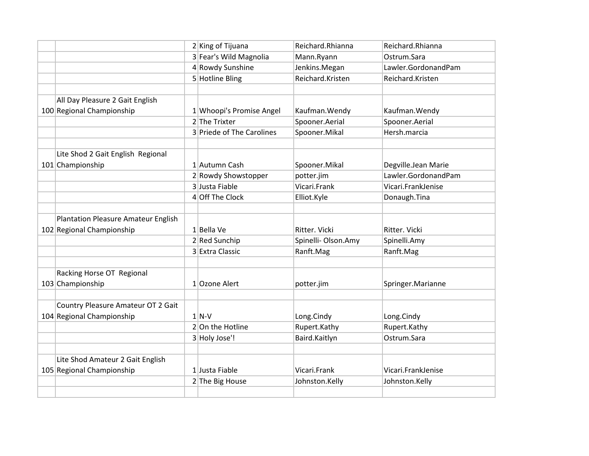|                                            | 2 King of Tijuana         | Reichard.Rhianna    | Reichard.Rhianna    |
|--------------------------------------------|---------------------------|---------------------|---------------------|
|                                            | 3 Fear's Wild Magnolia    | Mann.Ryann          | Ostrum.Sara         |
|                                            | 4 Rowdy Sunshine          | Jenkins.Megan       | Lawler.GordonandPam |
|                                            | 5 Hotline Bling           | Reichard.Kristen    | Reichard.Kristen    |
|                                            |                           |                     |                     |
| All Day Pleasure 2 Gait English            |                           |                     |                     |
| 100 Regional Championship                  | 1 Whoopi's Promise Angel  | Kaufman. Wendy      | Kaufman. Wendy      |
|                                            | 2 The Trixter             | Spooner.Aerial      | Spooner.Aerial      |
|                                            | 3 Priede of The Carolines | Spooner.Mikal       | Hersh.marcia        |
|                                            |                           |                     |                     |
| Lite Shod 2 Gait English Regional          |                           |                     |                     |
| 101 Championship                           | 1 Autumn Cash             | Spooner.Mikal       | Degville.Jean Marie |
|                                            | 2 Rowdy Showstopper       | potter.jim          | Lawler.GordonandPam |
|                                            | 3 Justa Fiable            | Vicari.Frank        | Vicari.FrankJenise  |
|                                            | 4 Off The Clock           | Elliot.Kyle         | Donaugh.Tina        |
|                                            |                           |                     |                     |
| <b>Plantation Pleasure Amateur English</b> |                           |                     |                     |
| 102 Regional Championship                  | $1$ Bella Ve              | Ritter. Vicki       | Ritter. Vicki       |
|                                            | 2 Red Sunchip             | Spinelli- Olson.Amy | Spinelli.Amy        |
|                                            | 3 Extra Classic           | Ranft.Mag           | Ranft.Mag           |
|                                            |                           |                     |                     |
| Racking Horse OT Regional                  |                           |                     |                     |
| 103 Championship                           | 1 Ozone Alert             | potter.jim          | Springer.Marianne   |
|                                            |                           |                     |                     |
| Country Pleasure Amateur OT 2 Gait         |                           |                     |                     |
| 104 Regional Championship                  | $1$ N-V                   | Long.Cindy          | Long.Cindy          |
|                                            | $2 On$ the Hotline        | Rupert.Kathy        | Rupert.Kathy        |
|                                            | 3 Holy Jose'!             | Baird.Kaitlyn       | Ostrum.Sara         |
|                                            |                           |                     |                     |
| Lite Shod Amateur 2 Gait English           |                           |                     |                     |
| 105 Regional Championship                  | 1 Justa Fiable            | Vicari.Frank        | Vicari.FrankJenise  |
|                                            | 2 The Big House           | Johnston.Kelly      | Johnston.Kelly      |
|                                            |                           |                     |                     |